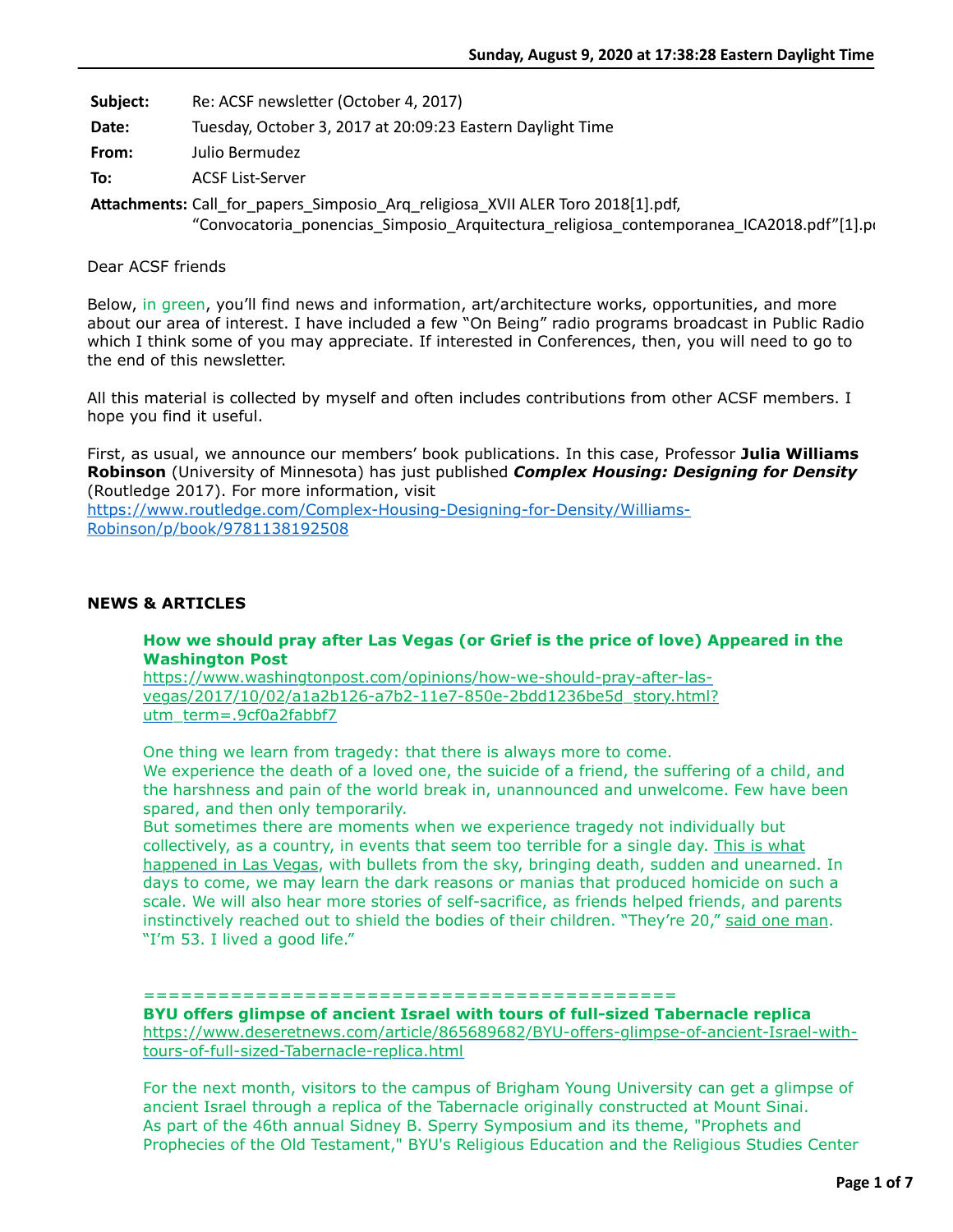**Subject:** Re: ACSF newsletter (October 4, 2017)

**Date:** Tuesday, October 3, 2017 at 20:09:23 Eastern Daylight Time

**From:** Julio Bermudez

**To:** ACSF List-Server

**AEachments:** Call\_for\_papers\_Simposio\_Arq\_religiosa\_XVII ALER Toro 2018[1].pdf, "Convocatoria ponencias Simposio Arquitectura religiosa contemporanea ICA2018.pdf"[1].pdf

# Dear ACSF friends

Below, in green, you'll find news and information, art/architecture works, opportunities, and more about our area of interest. I have included a few "On Being" radio programs broadcast in Public Radio which I think some of you may appreciate. If interested in Conferences, then, you will need to go to the end of this newsletter.

All this material is collected by myself and often includes contributions from other ACSF members. I hope you find it useful.

First, as usual, we announce our members' book publications. In this case, Professor **Julia Williams Robinson** (University of Minnesota) has just published *Complex Housing: Designing for Density* (Routledge 2017). For more information, visit

[https://www.routledge.com/Complex-Housing-Designing-for-Density/Williams-](https://www.routledge.com/Complex-Housing-Designing-for-Density/Williams-Robinson/p/book/9781138192508)Robinson/p/book/9781138192508

### **NEWS & ARTICLES**

### **How we should pray after Las Vegas (or Grief is the price of love) Appeared in the Washington Post**

https://www.washingtonpost.com/opinions/how-we-should-pray-after-las[vegas/2017/10/02/a1a2b126-a7b2-11e7-850e-2bdd1236be5d\\_story.html?](https://www.washingtonpost.com/opinions/how-we-should-pray-after-las-vegas/2017/10/02/a1a2b126-a7b2-11e7-850e-2bdd1236be5d_story.html?utm_term=.9cf0a2fabbf7) utm\_term=.9cf0a2fabbf7

One thing we learn from tragedy: that there is always more to come.

We experience the death of a loved one, the suicide of a friend, the suffering of a child, and the harshness and pain of the world break in, unannounced and unwelcome. Few have been spared, and then only temporarily.

But sometimes there are moments when we experience tragedy not individually but [collectively, as a country, in events that seem too terrible for a single day. This is what](https://www.washingtonpost.com/news/morning-mix/wp/2017/10/02/police-shut-down-part-of-las-vegas-strip-due-to-shooting/?hpid=hp_hp-banner-main_las-vegas-230am%3Ahomepage%2Fstory&utm_term=.b85be1812baf) happened in Las Vegas, with bullets from the sky, bringing death, sudden and unearned. In days to come, we may learn the dark reasons or manias that produced homicide on such a scale. We will also hear more stories of self-sacrifice, as friends helped friends, and parents instinctively reached out to shield the bodies of their children. "They're 20," [said one man](https://www.washingtonpost.com/news/inspired-life/wp/2017/10/02/thousands-fled-the-hail-of-gunfire-in-las-vegas-these-people-stayed-to-try-to-save-lives/?utm_term=.9eba916e99b2). "I'm 53. I lived a good life."

#### ===========================================

**BYU offers glimpse of ancient Israel with tours of full-sized Tabernacle replica** [https://www.deseretnews.com/article/865689682/BYU-offers-glimpse-of-ancient-Israel-with](https://www.deseretnews.com/article/865689682/BYU-offers-glimpse-of-ancient-Israel-with-tours-of-full-sized-Tabernacle-replica.html)tours-of-full-sized-Tabernacle-replica.html

For the next month, visitors to the campus of Brigham Young University can get a glimpse of ancient Israel through a replica of the Tabernacle originally constructed at Mount Sinai. As part of the 46th annual Sidney B. Sperry Symposium and its theme, "Prophets and Prophecies of the Old Testament," BYU's Religious Education and the Religious Studies Center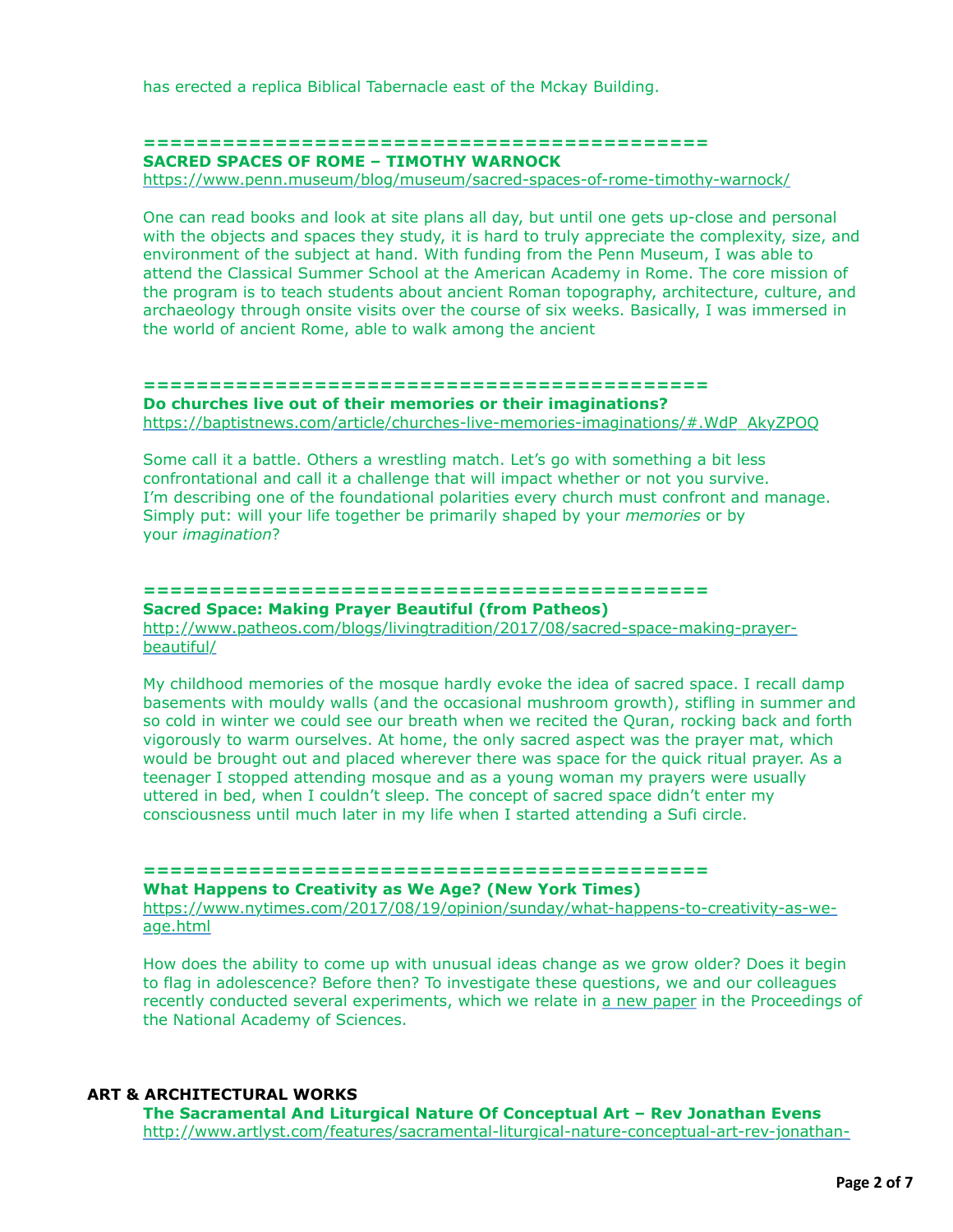has erected a replica Biblical Tabernacle east of the Mckay Building.

# **=========================================== SACRED SPACES OF ROME – TIMOTHY WARNOCK**

<https://www.penn.museum/blog/museum/sacred-spaces-of-rome-timothy-warnock/>

One can read books and look at site plans all day, but until one gets up-close and personal with the objects and spaces they study, it is hard to truly appreciate the complexity, size, and environment of the subject at hand. With funding from the Penn Museum, I was able to attend the Classical Summer School at the American Academy in Rome. The core mission of the program is to teach students about ancient Roman topography, architecture, culture, and archaeology through onsite visits over the course of six weeks. Basically, I was immersed in the world of ancient Rome, able to walk among the ancient

#### **===========================================**

**Do churches live out of their memories or their imaginations?** [https://baptistnews.com/article/churches-live-memories-imaginations/#.WdP\\_AkyZPOQ](https://baptistnews.com/article/churches-live-memories-imaginations/#.WdP_AkyZPOQ)

Some call it a battle. Others a wrestling match. Let's go with something a bit less confrontational and call it a challenge that will impact whether or not you survive. I'm describing one of the foundational polarities every church must confront and manage. Simply put: will your life together be primarily shaped by your *memories* or by your *imagination*?

# **===========================================**

**Sacred Space: Making Prayer Beautiful (from Patheos)**

[http://www.patheos.com/blogs/livingtradition/2017/08/sacred-space-making-prayer](http://www.patheos.com/blogs/livingtradition/2017/08/sacred-space-making-prayer-beautiful/)beautiful/

My childhood memories of the mosque hardly evoke the idea of sacred space. I recall damp basements with mouldy walls (and the occasional mushroom growth), stifling in summer and so cold in winter we could see our breath when we recited the Quran, rocking back and forth vigorously to warm ourselves. At home, the only sacred aspect was the prayer mat, which would be brought out and placed wherever there was space for the quick ritual prayer. As a teenager I stopped attending mosque and as a young woman my prayers were usually uttered in bed, when I couldn't sleep. The concept of sacred space didn't enter my consciousness until much later in my life when I started attending a Sufi circle.

# **===========================================**

# **What Happens to Creativity as We Age? (New York Times)**

[https://www.nytimes.com/2017/08/19/opinion/sunday/what-happens-to-creativity-as-we](https://www.nytimes.com/2017/08/19/opinion/sunday/what-happens-to-creativity-as-we-age.html)age.html

How does the ability to come up with unusual ideas change as we grow older? Does it begin to flag in adolescence? Before then? To investigate these questions, we and our colleagues recently conducted several experiments, which we relate in [a new paper](http://www.pnas.org/content/114/30/7892.figures-only) in the Proceedings of the National Academy of Sciences.

# **ART & ARCHITECTURAL WORKS**

**The Sacramental And Liturgical Nature Of Conceptual Art – Rev Jonathan Evens** [http://www.artlyst.com/features/sacramental-liturgical-nature-conceptual-art-rev-jonathan-](http://www.artlyst.com/features/sacramental-liturgical-nature-conceptual-art-rev-jonathan-evens/)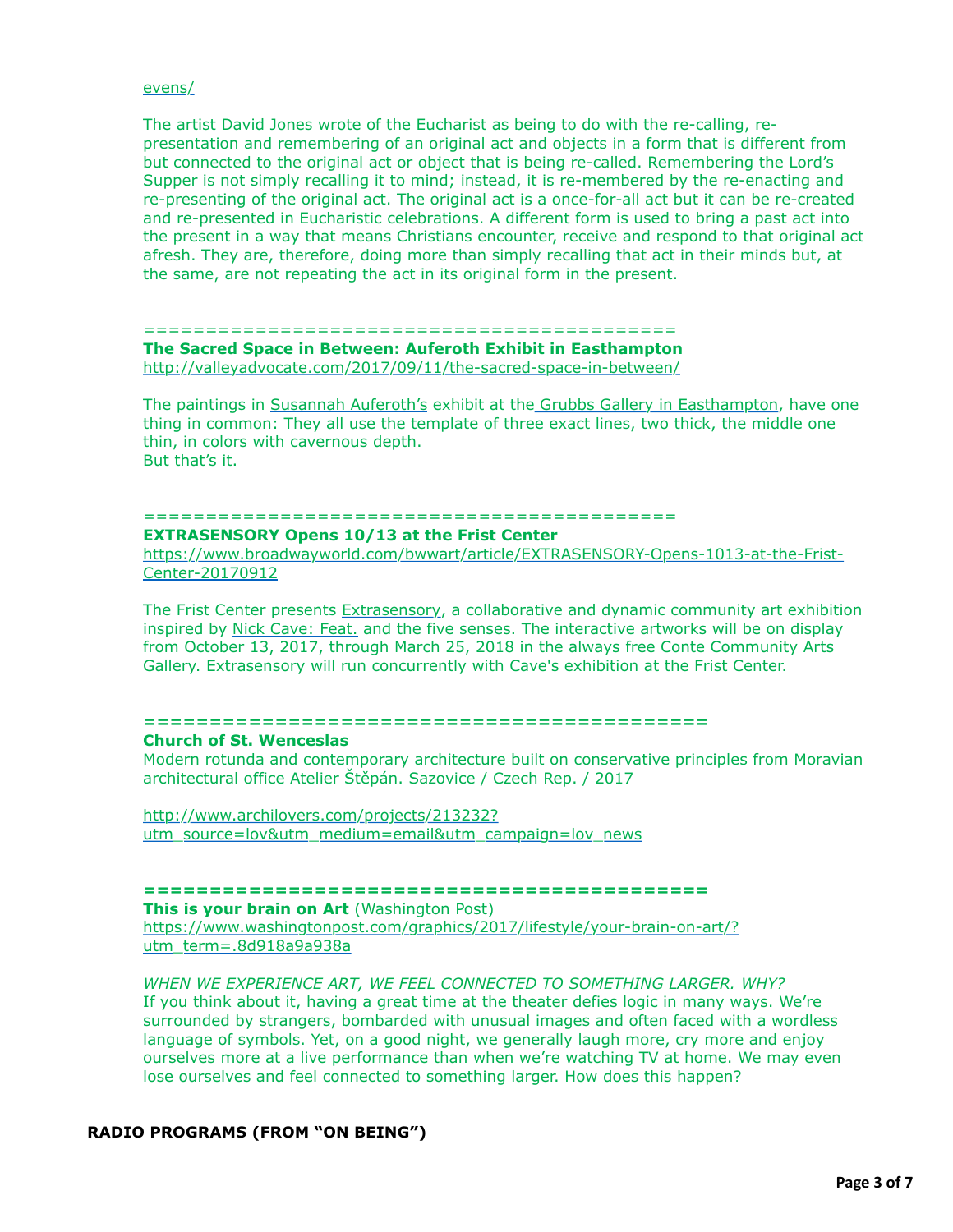#### [evens/](http://www.artlyst.com/features/sacramental-liturgical-nature-conceptual-art-rev-jonathan-evens/)

The artist David Jones wrote of the Eucharist as being to do with the re-calling, representation and remembering of an original act and objects in a form that is different from but connected to the original act or object that is being re-called. Remembering the Lord's Supper is not simply recalling it to mind; instead, it is re-membered by the re-enacting and re-presenting of the original act. The original act is a once-for-all act but it can be re-created and re-presented in Eucharistic celebrations. A different form is used to bring a past act into the present in a way that means Christians encounter, receive and respond to that original act afresh. They are, therefore, doing more than simply recalling that act in their minds but, at the same, are not repeating the act in its original form in the present.

#### =========================================== **The Sacred Space in Between: Auferoth Exhibit in Easthampton** <http://valleyadvocate.com/2017/09/11/the-sacred-space-in-between/>

The paintings in [Susannah Auferoth's](http://susannahauferoth.com/) exhibit at the [Grubbs Gallery in Easthampton](https://www.facebook.com/events/362136454205302/), have one thing in common: They all use the template of three exact lines, two thick, the middle one thin, in colors with cavernous depth. But that's it.

# ===========================================

### **EXTRASENSORY Opens 10/13 at the Frist Center**

[https://www.broadwayworld.com/bwwart/article/EXTRASENSORY-Opens-1013-at-the-Frist-](https://www.broadwayworld.com/bwwart/article/EXTRASENSORY-Opens-1013-at-the-Frist-Center-20170912)Center-20170912

The Frist Center presents [Extrasensory](http://fristcenter.org/calendar/detail/extrasensory), a collaborative and dynamic community art exhibition inspired by [Nick Cave: Feat.](http://fristcenter.org/calendar/detail/nick-cave-feat.-nashville) and the five senses. The interactive artworks will be on display from October 13, 2017, through March 25, 2018 in the always free Conte Community Arts Gallery. Extrasensory will run concurrently with Cave's exhibition at the Frist Center.

#### **===========================================**

#### **Church of St. Wenceslas**

Modern rotunda and contemporary architecture built on conservative principles from Moravian architectural office Atelier Štěpán. Sazovice / Czech Rep. / 2017

http://www.archilovers.com/projects/213232? [utm\\_source=lov&utm\\_medium=email&utm\\_campaign=lov\\_news](http://www.archilovers.com/projects/213232?utm_source=lov&utm_medium=email&utm_campaign=lov_news)

#### **===========================================**

**This is your brain on Art** (Washington Post) [https://www.washingtonpost.com/graphics/2017/lifestyle/your-brain-on-art/?](https://www.washingtonpost.com/graphics/2017/lifestyle/your-brain-on-art/?utm_term=.8d918a9a938a) utm\_term=.8d918a9a938a

# *WHEN WE EXPERIENCE ART, WE FEEL CONNECTED TO SOMETHING LARGER. WHY?* If you think about it, having a great time at the theater defies logic in many ways. We're surrounded by strangers, bombarded with unusual images and often faced with a wordless language of symbols. Yet, on a good night, we generally laugh more, cry more and enjoy ourselves more at a live performance than when we're watching TV at home. We may even lose ourselves and feel connected to something larger. How does this happen?

# **RADIO PROGRAMS (FROM "ON BEING")**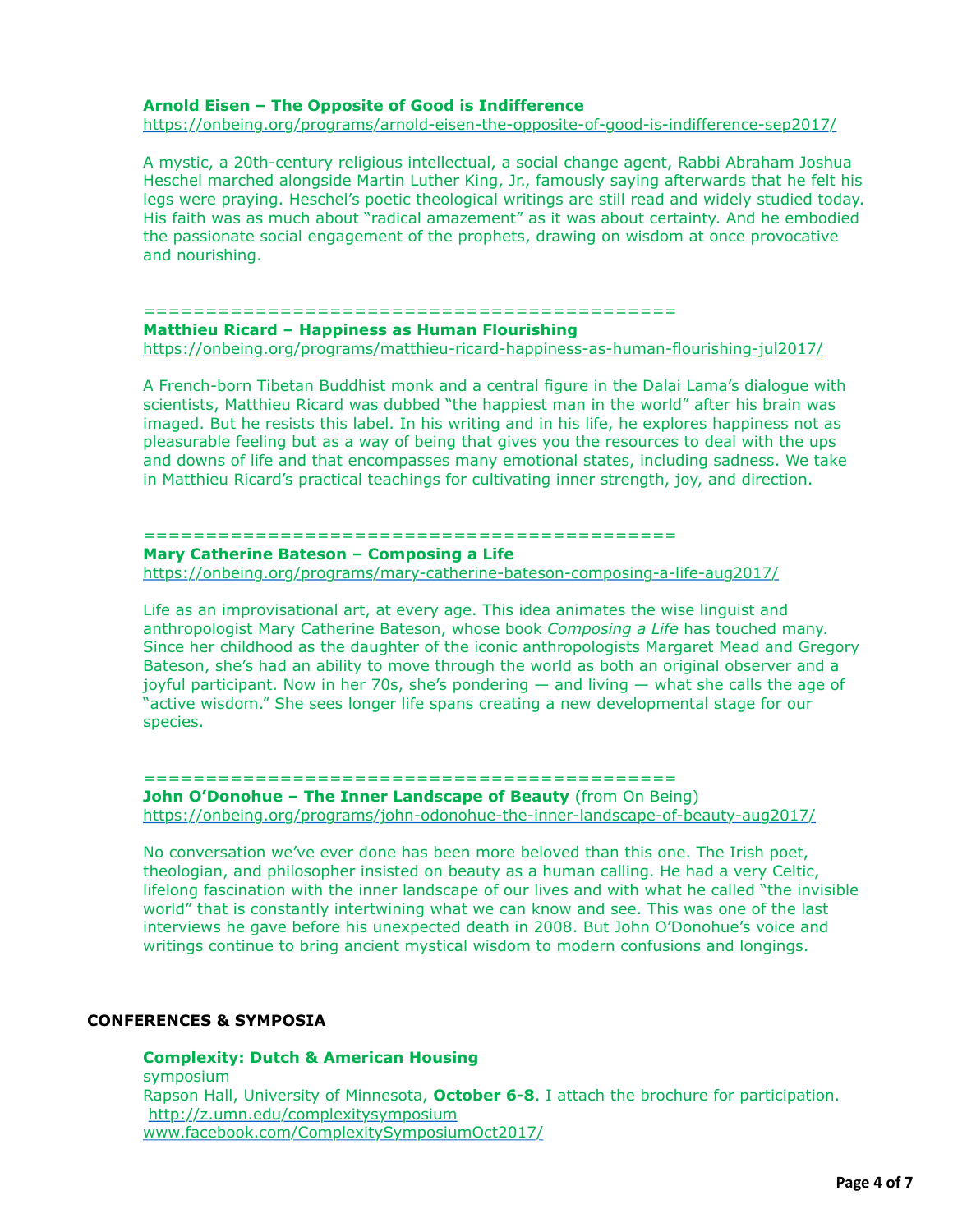#### **Arnold Eisen – The Opposite of Good is Indifference**

<https://onbeing.org/programs/arnold-eisen-the-opposite-of-good-is-indifference-sep2017/>

A mystic, a 20th-century religious intellectual, a social change agent, Rabbi Abraham Joshua Heschel marched alongside Martin Luther King, Jr., famously saying afterwards that he felt his legs were praying. Heschel's poetic theological writings are still read and widely studied today. His faith was as much about "radical amazement" as it was about certainty. And he embodied the passionate social engagement of the prophets, drawing on wisdom at once provocative and nourishing.

#### ===========================================

#### **Matthieu Ricard – Happiness as Human Flourishing** <https://onbeing.org/programs/matthieu-ricard-happiness-as-human-flourishing-jul2017/>

A French-born Tibetan Buddhist monk and a central figure in the Dalai Lama's dialogue with scientists, Matthieu Ricard was dubbed "the happiest man in the world" after his brain was imaged. But he resists this label. In his writing and in his life, he explores happiness not as pleasurable feeling but as a way of being that gives you the resources to deal with the ups and downs of life and that encompasses many emotional states, including sadness. We take in Matthieu Ricard's practical teachings for cultivating inner strength, joy, and direction.

### ===========================================

# **Mary Catherine Bateson – Composing a Life**

<https://onbeing.org/programs/mary-catherine-bateson-composing-a-life-aug2017/>

Life as an improvisational art, at every age. This idea animates the wise linguist and anthropologist Mary Catherine Bateson, whose book *Composing a Life* has touched many. Since her childhood as the daughter of the iconic anthropologists Margaret Mead and Gregory Bateson, she's had an ability to move through the world as both an original observer and a joyful participant. Now in her 70s, she's pondering — and living — what she calls the age of "active wisdom." She sees longer life spans creating a new developmental stage for our species.

#### ===========================================

### **John O'Donohue - The Inner Landscape of Beauty** (from On Being) <https://onbeing.org/programs/john-odonohue-the-inner-landscape-of-beauty-aug2017/>

No conversation we've ever done has been more beloved than this one. The Irish poet, theologian, and philosopher insisted on beauty as a human calling. He had a very Celtic, lifelong fascination with the inner landscape of our lives and with what he called "the invisible world" that is constantly intertwining what we can know and see. This was one of the last interviews he gave before his unexpected death in 2008. But John O'Donohue's voice and writings continue to bring ancient mystical wisdom to modern confusions and longings.

# **CONFERENCES & SYMPOSIA**

**Complexity: Dutch & American Housing** symposium Rapson Hall, University of Minnesota, **October 6-8**. I attach the brochure for participation. <http://z.umn.edu/complexitysymposium> [www.facebook.com/ComplexitySymposiumOct2017/](http://www.facebook.com/ComplexitySymposiumOct2017/)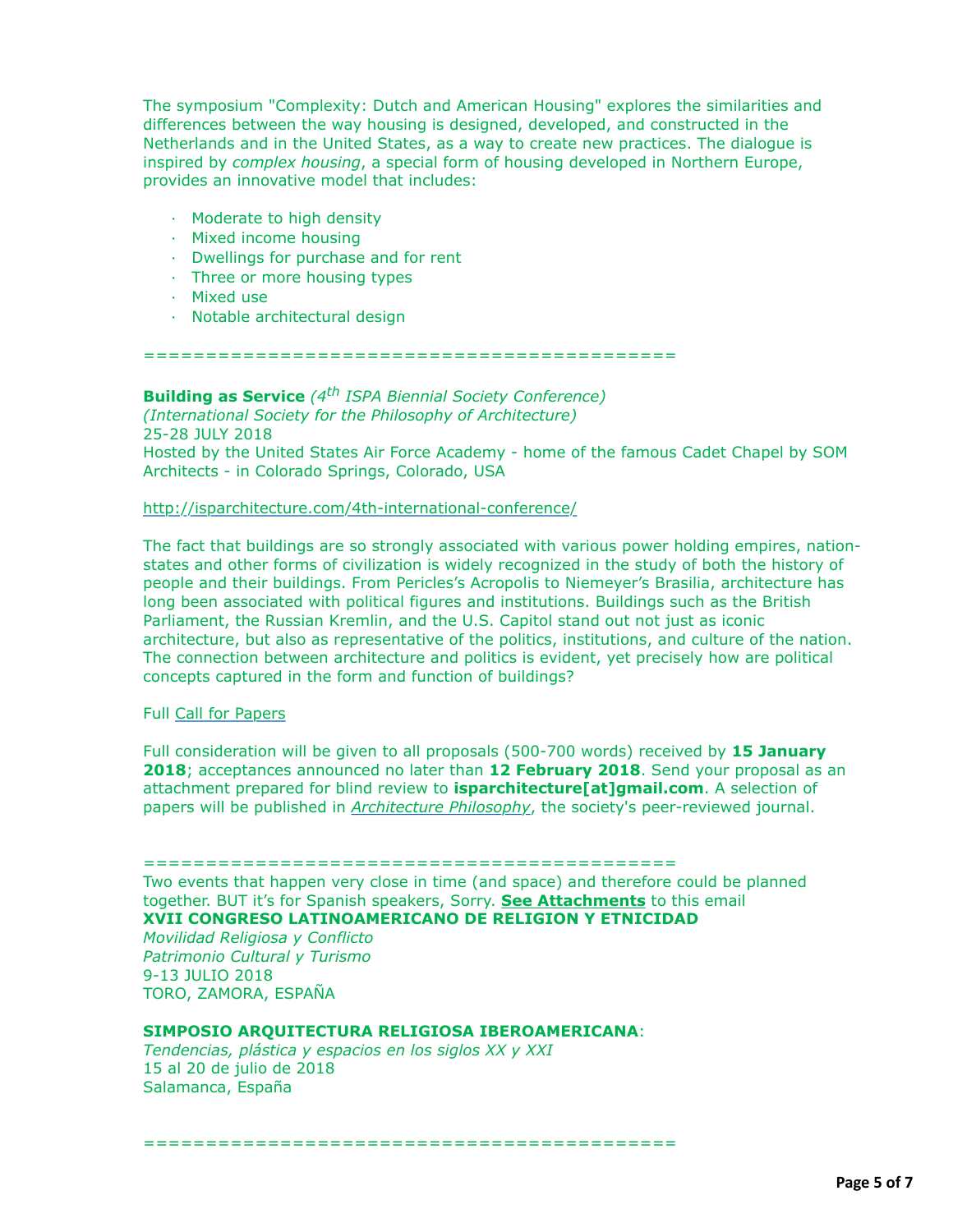The symposium "Complexity: Dutch and American Housing" explores the similarities and differences between the way housing is designed, developed, and constructed in the Netherlands and in the United States, as a way to create new practices. The dialogue is inspired by *complex housing*, a special form of housing developed in Northern Europe, provides an innovative model that includes:

- · Moderate to high density
- · Mixed income housing
- · Dwellings for purchase and for rent
- · Three or more housing types
- · Mixed use
- · Notable architectural design

===========================================

**Building as Service** *(4th ISPA Biennial Society Conference) (International Society for the Philosophy of Architecture)*

25-28 JULY 2018 Hosted by the United States Air Force Academy - home of the famous Cadet Chapel by SOM Architects - in Colorado Springs, Colorado, USA

### <http://isparchitecture.com/4th-international-conference/>

The fact that buildings are so strongly associated with various power holding empires, nationstates and other forms of civilization is widely recognized in the study of both the history of people and their buildings. From Pericles's Acropolis to Niemeyer's Brasilia, architecture has long been associated with political figures and institutions. Buildings such as the British Parliament, the Russian Kremlin, and the U.S. Capitol stand out not just as iconic architecture, but also as representative of the politics, institutions, and culture of the nation. The connection between architecture and politics is evident, yet precisely how are political concepts captured in the form and function of buildings?

#### Full [Call for Papers](http://isparchitecture.us5.list-manage.com/track/click?u=a078e97027b0cbcd23ad4f4d1&id=9e4dc11d36&e=830f2eb705)

Full consideration will be given to all proposals (500-700 words) received by **15 January 2018**; acceptances announced no later than **12 February 2018**. Send your proposal as an attachment prepared for blind review to **isparchitecture[at]gmail.com**. A selection of papers will be published in *[Architecture Philosophy](http://isparchitecture.us5.list-manage.com/track/click?u=a078e97027b0cbcd23ad4f4d1&id=67fd456c7d&e=830f2eb705)*, the society's peer-reviewed journal.

#### ===========================================

Two events that happen very close in time (and space) and therefore could be planned together. BUT it's for Spanish speakers, Sorry. **See Attachments** to this email **XVII CONGRESO LATINOAMERICANO DE RELIGION Y ETNICIDAD**

*Movilidad Religiosa y Conflicto Patrimonio Cultural y Turismo* 9-13 JULIO 2018 TORO, ZAMORA, ESPAÑA

# **SIMPOSIO ARQUITECTURA RELIGIOSA IBEROAMERICANA**:

===========================================

*Tendencias, plástica y espacios en los siglos XX y XXI* 15 al 20 de julio de 2018 Salamanca, España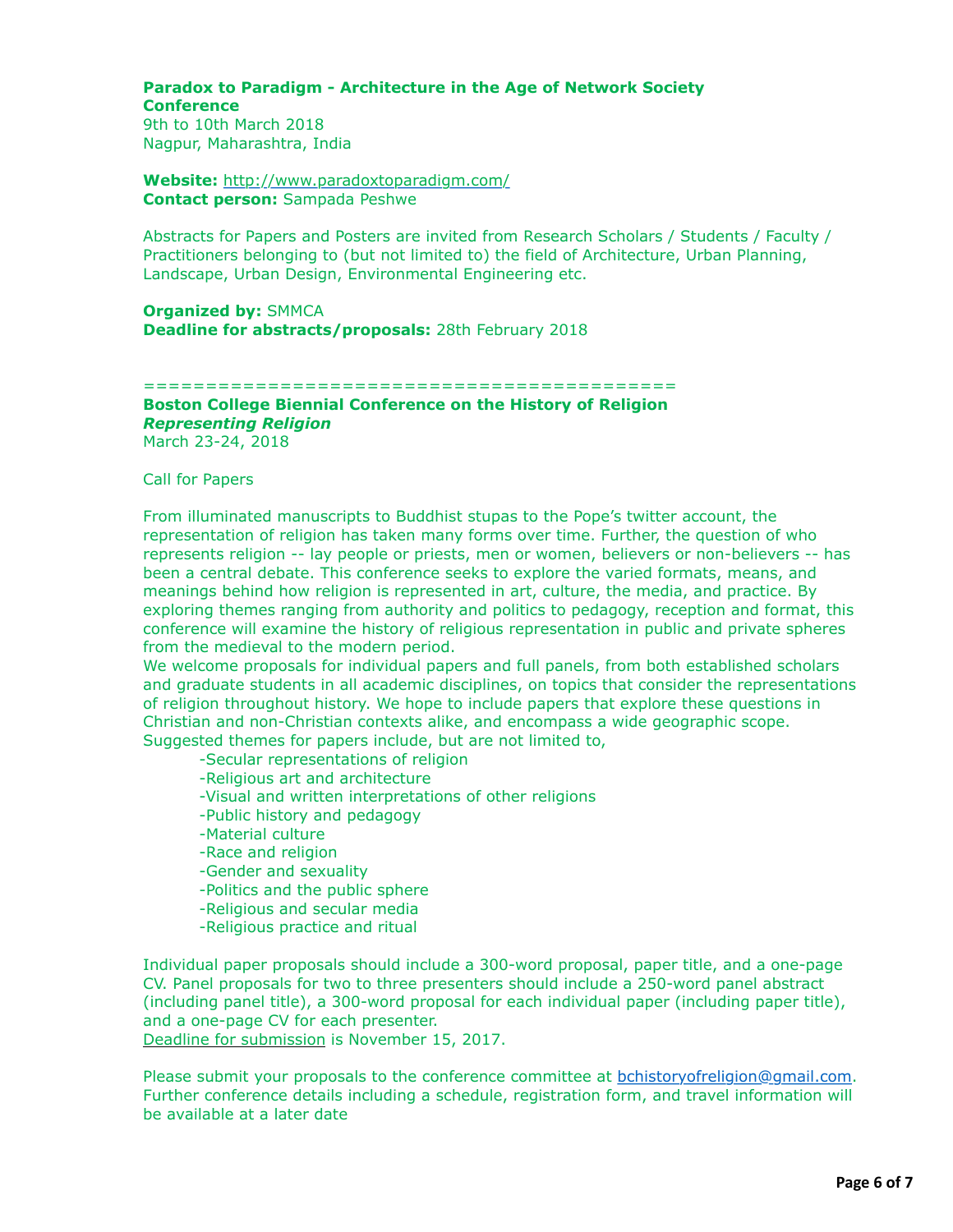#### **Paradox to Paradigm - Architecture in the Age of Network Society Conference** 9th to 10th March 2018

Nagpur, Maharashtra, India

**Website:** <http://www.paradoxtoparadigm.com/> **Contact person:** Sampada Peshwe

Abstracts for Papers and Posters are invited from Research Scholars / Students / Faculty / Practitioners belonging to (but not limited to) the field of Architecture, Urban Planning, Landscape, Urban Design, Environmental Engineering etc.

**Organized by:** SMMCA **Deadline for abstracts/proposals:** 28th February 2018

===========================================

# **Boston College Biennial Conference on the History of Religion** *Representing Religion*

March 23-24, 2018

Call for Papers

From illuminated manuscripts to Buddhist stupas to the Pope's twitter account, the representation of religion has taken many forms over time. Further, the question of who represents religion -- lay people or priests, men or women, believers or non-believers -- has been a central debate. This conference seeks to explore the varied formats, means, and meanings behind how religion is represented in art, culture, the media, and practice. By exploring themes ranging from authority and politics to pedagogy, reception and format, this conference will examine the history of religious representation in public and private spheres from the medieval to the modern period.

We welcome proposals for individual papers and full panels, from both established scholars and graduate students in all academic disciplines, on topics that consider the representations of religion throughout history. We hope to include papers that explore these questions in Christian and non-Christian contexts alike, and encompass a wide geographic scope. Suggested themes for papers include, but are not limited to,

-Secular representations of religion

- -Religious art and architecture
- -Visual and written interpretations of other religions
- -Public history and pedagogy
- -Material culture
- -Race and religion
- -Gender and sexuality
- -Politics and the public sphere
- -Religious and secular media
- -Religious practice and ritual

Individual paper proposals should include a 300-word proposal, paper title, and a one-page CV. Panel proposals for two to three presenters should include a 250-word panel abstract (including panel title), a 300-word proposal for each individual paper (including paper title), and a one-page CV for each presenter. Deadline for submission is November 15, 2017.

Please submit your proposals to the conference committee at [bchistoryofreligion@gmail.com](mailto:bchistoryofreligion@gmail.com). Further conference details including a schedule, registration form, and travel information will be available at a later date